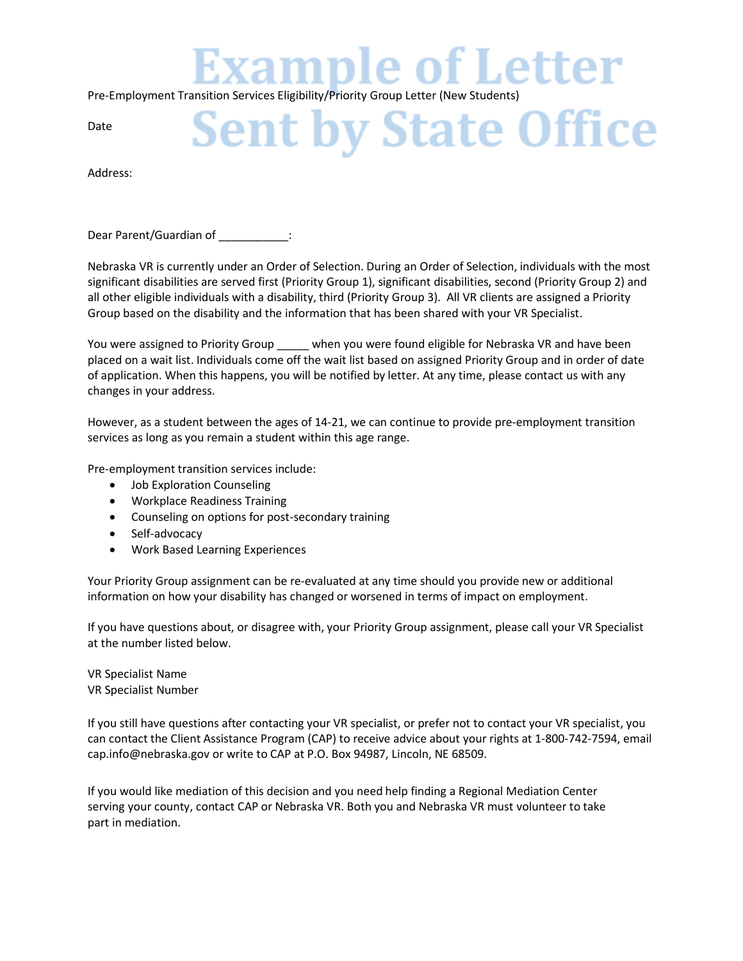**xample of Letter** 

Pre-Employment Transition Services Eligibility/Priority Group Letter (New Students)

## Date

## **Sent by State Office**

Address:

Dear Parent/Guardian of  $\qquad \qquad :$ 

Nebraska VR is currently under an Order of Selection. During an Order of Selection, individuals with the most significant disabilities are served first (Priority Group 1), significant disabilities, second (Priority Group 2) and all other eligible individuals with a disability, third (Priority Group 3). All VR clients are assigned a Priority Group based on the disability and the information that has been shared with your VR Specialist.

You were assigned to Priority Group \_\_\_\_\_ when you were found eligible for Nebraska VR and have been placed on a wait list. Individuals come off the wait list based on assigned Priority Group and in order of date of application. When this happens, you will be notified by letter. At any time, please contact us with any changes in your address.

However, as a student between the ages of 14-21, we can continue to provide pre-employment transition services as long as you remain a student within this age range.

Pre-employment transition services include:

- Job Exploration Counseling
- Workplace Readiness Training
- Counseling on options for post-secondary training
- Self-advocacy
- Work Based Learning Experiences

Your Priority Group assignment can be re-evaluated at any time should you provide new or additional information on how your disability has changed or worsened in terms of impact on employment.

If you have questions about, or disagree with, your Priority Group assignment, please call your VR Specialist at the number listed below.

VR Specialist Name VR Specialist Number

If you still have questions after contacting your VR specialist, or prefer not to contact your VR specialist, you can contact the Client Assistance Program (CAP) to receive advice about your rights at 1-800-742-7594, email cap.info@nebraska.gov or write to CAP at P.O. Box 94987, Lincoln, NE 68509.

If you would like mediation of this decision and you need help finding a Regional Mediation Center serving your county, contact CAP or Nebraska VR. Both you and Nebraska VR must volunteer to take part in mediation.